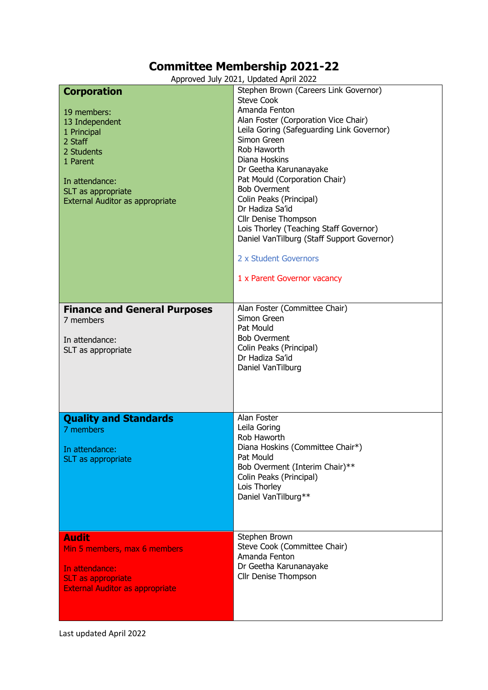## **Committee Membership 2021-22**

Approved July 2021, Updated April 2022

|                                        | Approved July 2021, Opdated April 2022     |
|----------------------------------------|--------------------------------------------|
| <b>Corporation</b>                     | Stephen Brown (Careers Link Governor)      |
|                                        | <b>Steve Cook</b>                          |
| 19 members:                            | Amanda Fenton                              |
|                                        | Alan Foster (Corporation Vice Chair)       |
| 13 Independent                         | Leila Goring (Safeguarding Link Governor)  |
| 1 Principal                            | Simon Green                                |
| 2 Staff                                |                                            |
| 2 Students                             | Rob Haworth                                |
| 1 Parent                               | Diana Hoskins                              |
|                                        | Dr Geetha Karunanayake                     |
| In attendance:                         | Pat Mould (Corporation Chair)              |
| SLT as appropriate                     | <b>Bob Overment</b>                        |
| External Auditor as appropriate        | Colin Peaks (Principal)                    |
|                                        | Dr Hadiza Sa'id                            |
|                                        | Cllr Denise Thompson                       |
|                                        |                                            |
|                                        | Lois Thorley (Teaching Staff Governor)     |
|                                        | Daniel VanTilburg (Staff Support Governor) |
|                                        |                                            |
|                                        | 2 x Student Governors                      |
|                                        |                                            |
|                                        | 1 x Parent Governor vacancy                |
|                                        |                                            |
|                                        |                                            |
| <b>Finance and General Purposes</b>    | Alan Foster (Committee Chair)              |
| 7 members                              | Simon Green                                |
|                                        | Pat Mould                                  |
|                                        |                                            |
| In attendance:                         | <b>Bob Overment</b>                        |
| SLT as appropriate                     | Colin Peaks (Principal)                    |
|                                        | Dr Hadiza Sa'id                            |
|                                        | Daniel VanTilburg                          |
|                                        |                                            |
|                                        |                                            |
|                                        |                                            |
|                                        |                                            |
| <b>Quality and Standards</b>           | Alan Foster                                |
| 7 members                              | Leila Goring                               |
|                                        | Rob Haworth                                |
|                                        | Diana Hoskins (Committee Chair*)           |
| In attendance:                         | Pat Mould                                  |
| SLT as appropriate                     | Bob Overment (Interim Chair)**             |
|                                        |                                            |
|                                        | Colin Peaks (Principal)                    |
|                                        | Lois Thorley                               |
|                                        | Daniel VanTilburg**                        |
|                                        |                                            |
|                                        |                                            |
|                                        |                                            |
| <b>Audit</b>                           | Stephen Brown                              |
|                                        | Steve Cook (Committee Chair)               |
|                                        |                                            |
| Min 5 members, max 6 members           | Amanda Fenton                              |
|                                        |                                            |
| In attendance:                         | Dr Geetha Karunanayake                     |
| <b>SLT as appropriate</b>              | Cllr Denise Thompson                       |
| <b>External Auditor as appropriate</b> |                                            |
|                                        |                                            |

Last updated April 2022